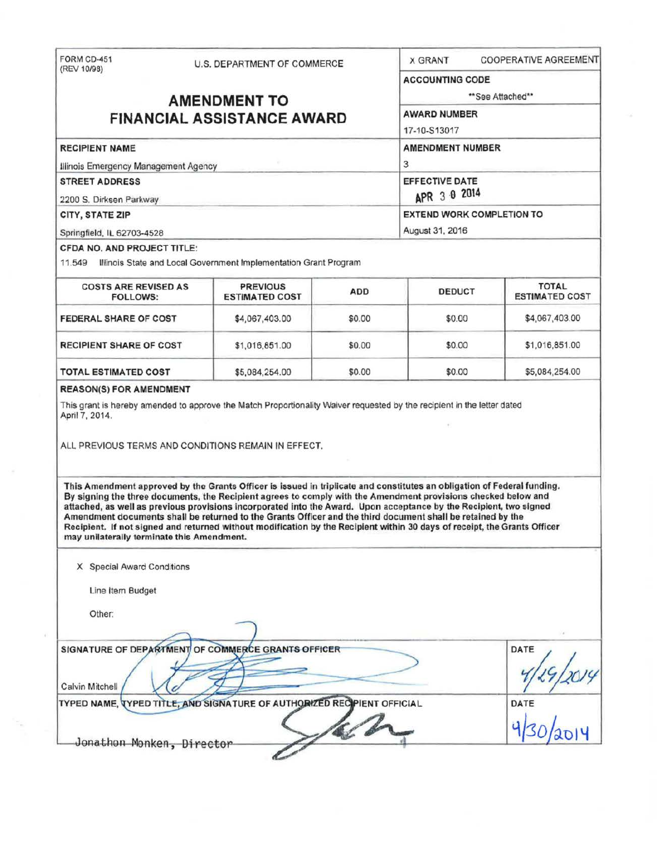FORM CD-451 U.S. DEPARTMENT OF COMMERCE X GRANT COOPERATIVE AGREEMENT (REV 10/98) ACCOUNTING CODE **AMENDMENT TO** <sup>\*\*See Attached\*\*<br> **ALL ASSISTANCE AMAPD**</sup> **FINANCIAL ASSISTANCE AWARD** 17-10-513017 RECIPIENT NAME AMENOMENT NUMBER Illinois Emergency Management Agency 3 STREET ADDRESS EFFECTIVE DATE<br>2200 S. Dirksen Parkway 2200 S. Dirksen Parkway CITY, STATE ZIP EXTEND WORK COMPLETION TO Springfield. IL 62703-4528 August 31, 2016 CFDA NO, AND PROJECT TITLE: 11 .549 Illinois State and Local Government Implementation Grant Program COSTS ARE REVISED AS PREVIOUS ADD DEDUCT TOTAL TOTAL TOTAL PREVIOUS ADD DEDUCT TOTAL **ESTIMATED COST FEDERAL SHARE OF COST \$4,067,403.00 \$0.00 \$0.00 \$4,067,403.00** \$4,067,403.00 RECIPIENT SHARE OF COST | \$1,016,851.00 | \$0.00 | \$0.00 | \$1,016,851.00 **TOTAL ESTIMATED COST**  \$5,084,254.00 \$0.00 \$0.00 \$0.00 \$5,084,254.00 REASON(S) FOR AMENDMENT This grant is hereby amended to approve the Match Proportionality Waiver requested by the recipient in the letter dated April7, 2014. ALL PREVIOUS TERMS AND CONDITIONS REMAIN IN EFFECT. This Amendment approved by the Grants Officer is issued in triplicate and constitutes an obligation of Federal funding. By signing the three documents, the Recipient agrees to comply with the Amendment provisions checked below and attached, as well as previous provisions Incorporated into the Award. Upon acceptance by the Recipient, two signed Amendment documents shall be returned to the Grants Officer and the third document shall be retained by the Recipient. If not signed and returned without modification by the Recipient within 30 days of receipt, the Grants Officer may unilaterally terminate this Amendment. X Special Award Conditions Line Item Budget Other: ~ ) . Other:<br>SIGNATURE OF DEPARTMENT OF COMMERCE GRANTS OFFICER NENT OF COMMERCE GRANTS OFFICER<br>A 29/29/2014 Calvin Mitchell VC A Calvin Mitchell Compared Transformation of the Calvin Mitchell Calvin Mitchell Compared Transformation of the Calvin Compared Transformation of the Calvin Compared Transformation of the Calvin Compared Transformation of th

Jonathon Monken, Director